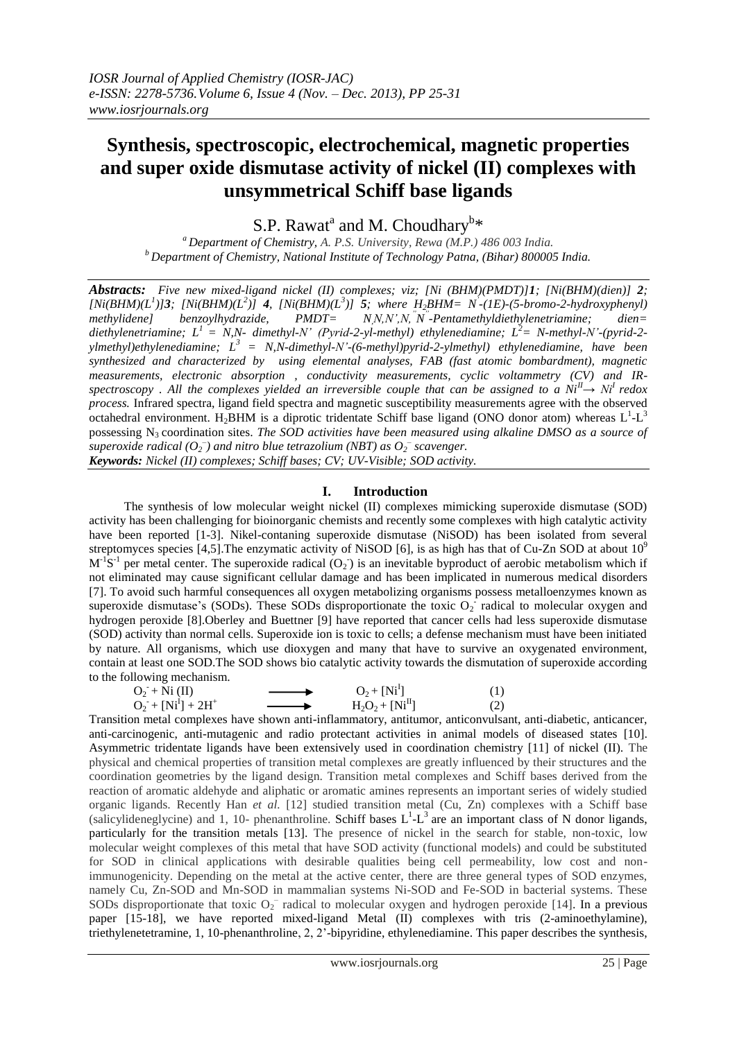# **Synthesis, spectroscopic, electrochemical, magnetic properties and super oxide dismutase activity of nickel (II) complexes with unsymmetrical Schiff base ligands**

S.P. Rawat<sup>a</sup> and M. Choudhary<sup>b\*</sup>

*<sup>a</sup> Department of Chemistry, A. P.S. University, Rewa (M.P.) 486 003 India. <sup>b</sup>Department of Chemistry, National Institute of Technology Patna, (Bihar) 800005 India.*

*Abstracts: Five new mixed-ligand nickel (II) complexes; viz; [Ni (BHM)(PMDT)]1; [Ni(BHM)(dien)] 2;*   $[Ni(BHM)(L^1)]$ 3;  $[Ni(BHM)(L^2)]$  4,  $[Ni(BHM)(L^3)]$  5; where  $H_2BHM = N^2 - (1E) - (5-bromo-2-hydroxyphenyl)$ *methylidene] benzoylhydrazide, PMDT= " -Pentamethyldiethylenetriamine; dien= diethylenetriamine;*  $L^1 = N N$ - *dimethyl-N'* (*Pyrid-2-yl-methyl) ethylenediamine;*  $L^2 = N$ -methyl-N'-(pyrid-2*ylmethyl)ethylenediamine; L<sup>3</sup>= N,N-dimethyl-N'-(6-methyl)pyrid-2-ylmethyl) ethylenediamine, have been synthesized and characterized by using elemental analyses, FAB (fast atomic bombardment), magnetic measurements, electronic absorption , conductivity measurements, cyclic voltammetry (CV) and IRspectroscopy . All the complexes yielded an irreversible couple that can be assigned to a*  $Ni<sup>I</sup> \rightarrow Ni<sup>I</sup>$  *redox process.* Infrared spectra, ligand field spectra and magnetic susceptibility measurements agree with the observed octahedral environment. H<sub>2</sub>BHM is a diprotic tridentate Schiff base ligand (ONO donor atom) whereas  $L^1$ - $L^3$ possessing  $N<sub>3</sub>$  coordination sites. *The SOD activities have been measured using alkaline DMSO as a source of*  $\bar{\mathcal{L}}$  *superoxide radical* ( $O_2$ <sup>-</sup>) and nitro blue tetrazolium (NBT) as  $O_2$ <sup>-</sup> scavenger. *Keywords: Nickel (II) complexes; Schiff bases; CV; UV-Visible; SOD activity.*

### **I. Introduction**

The synthesis of low molecular weight nickel (II) complexes mimicking superoxide dismutase (SOD) activity has been challenging for bioinorganic chemists and recently some complexes with high catalytic activity have been reported [1-3]. Nikel-contaning superoxide dismutase (NiSOD) has been isolated from several streptomyces species [4,5]. The enzymatic activity of NiSOD [6], is as high has that of Cu-Zn SOD at about  $10^9$  $M<sup>-1</sup>S<sup>-1</sup>$  per metal center. The superoxide radical  $(O_2)$  is an inevitable byproduct of aerobic metabolism which if not eliminated may cause significant cellular damage and has been implicated in numerous medical disorders [7]. To avoid such harmful consequences all oxygen metabolizing organisms possess metalloenzymes known as superoxide dismutase's (SODs). These SODs disproportionate the toxic  $O_2$  radical to molecular oxygen and hydrogen peroxide [8].Oberley and Buettner [9] have reported that cancer cells had less superoxide dismutase (SOD) activity than normal cells. Superoxide ion is toxic to cells; a defense mechanism must have been initiated by nature. All organisms, which use dioxygen and many that have to survive an oxygenated environment, contain at least one SOD.The SOD shows bio catalytic activity towards the dismutation of superoxide according to the following mechanism.

| $O_2 + Ni (II)$       | $O_2 + [Ni^1]$    |  |
|-----------------------|-------------------|--|
| $O_2 + [Ni^I] + 2H^+$ | $H_2O_2 + [NiII]$ |  |

Transition metal complexes have shown anti-inflammatory, antitumor, anticonvulsant, anti-diabetic, anticancer, anti-carcinogenic, anti-mutagenic and radio protectant activities in animal models of diseased states [10]. Asymmetric tridentate ligands have been extensively used in coordination chemistry [11] of nickel (II). The physical and chemical properties of transition metal complexes are greatly influenced by their structures and the coordination geometries by the ligand design. Transition metal complexes and Schiff bases derived from the reaction of aromatic aldehyde and aliphatic or aromatic amines represents an important series of widely studied organic ligands. Recently Han *et al.* [12] studied transition metal (Cu, Zn) complexes with a Schiff base (salicylideneglycine) and 1, 10- phenanthroline. Schiff bases  $L^1$ - $L^3$  are an important class of N donor ligands, particularly for the transition metals [13]. The presence of nickel in the search for stable, non-toxic, low molecular weight complexes of this metal that have SOD activity (functional models) and could be substituted for SOD in clinical applications with desirable qualities being cell permeability, low cost and nonimmunogenicity. Depending on the metal at the active center, there are three general types of SOD enzymes, namely Cu, Zn-SOD and Mn-SOD in mammalian systems Ni-SOD and Fe-SOD in bacterial systems. These SODs disproportionate that toxic  $O_2^-$  radical to molecular oxygen and hydrogen peroxide [14]. In a previous paper [15-18], we have reported mixed-ligand Metal (II) complexes with tris (2-aminoethylamine), triethylenetetramine, 1, 10-phenanthroline, 2, 2'-bipyridine, ethylenediamine. This paper describes the synthesis,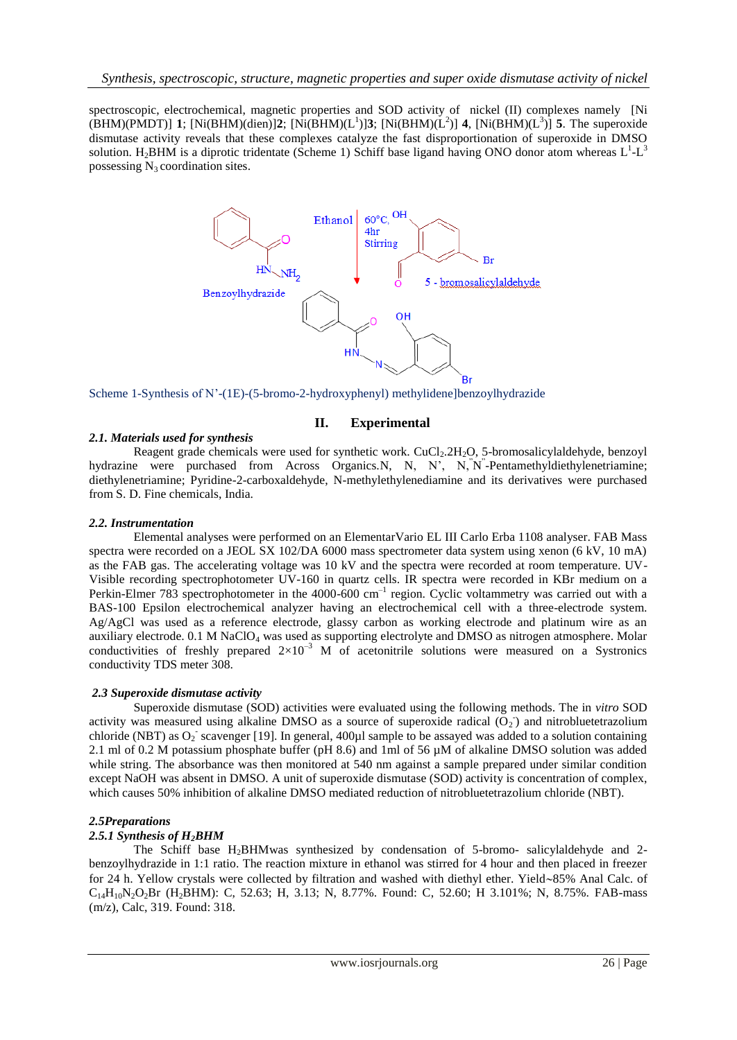spectroscopic, electrochemical, magnetic properties and SOD activity of nickel (II) complexes namely [Ni  $(BHM)(PMDT)]$  **1**; [Ni(BHM)(dien)]2; [Ni(BHM)(L<sup>1</sup>)]3; [Ni(BHM)(L<sup>2</sup>)] **4**, [Ni(BHM)(L<sup>3</sup>)] **5**. The superoxide dismutase activity reveals that these complexes catalyze the fast disproportionation of superoxide in DMSO solution. H<sub>2</sub>BHM is a diprotic tridentate (Scheme 1) Schiff base ligand having ONO donor atom whereas  $L^1$ - $L^3$ possessing  $N_3$  coordination sites.



Scheme 1-Synthesis of N'-(1E)-(5-bromo-2-hydroxyphenyl) methylidene]benzoylhydrazide

### **II. Experimental**

### *2.1. Materials used for synthesis*

Reagent grade chemicals were used for synthetic work. CuCl<sub>2</sub>.2H<sub>2</sub>O, 5-bromosalicylaldehyde, benzoyl hydrazine were purchased from Across Organics.N, N, N', N, N'-Pentamethyldiethylenetriamine; diethylenetriamine; Pyridine-2-carboxaldehyde, N-methylethylenediamine and its derivatives were purchased from S. D. Fine chemicals, India.

#### *2.2. Instrumentation*

Elemental analyses were performed on an ElementarVario EL III Carlo Erba 1108 analyser. FAB Mass spectra were recorded on a JEOL SX 102/DA 6000 mass spectrometer data system using xenon (6 kV, 10 mA) as the FAB gas. The accelerating voltage was 10 kV and the spectra were recorded at room temperature. UV-Visible recording spectrophotometer UV-160 in quartz cells. IR spectra were recorded in KBr medium on a Perkin-Elmer 783 spectrophotometer in the  $4000-600$  cm<sup>-1</sup> region. Cyclic voltammetry was carried out with a BAS-100 Epsilon electrochemical analyzer having an electrochemical cell with a three-electrode system. Ag/AgCl was used as a reference electrode, glassy carbon as working electrode and platinum wire as an auxiliary electrode. 0.1 M NaClO<sub>4</sub> was used as supporting electrolyte and DMSO as nitrogen atmosphere. Molar conductivities of freshly prepared  $2\times10^{-3}$  M of acetonitrile solutions were measured on a Systronics conductivity TDS meter 308.

### *2.3 Superoxide dismutase activity*

Superoxide dismutase (SOD) activities were evaluated using the following methods. The in *vitro* SOD activity was measured using alkaline DMSO as a source of superoxide radical  $(O_2)$  and nitrobluetetrazolium chloride (NBT) as  $O_2$  scavenger [19]. In general, 400 $\mu$ l sample to be assayed was added to a solution containing 2.1 ml of 0.2 M potassium phosphate buffer (pH 8.6) and 1ml of 56  $\mu$ M of alkaline DMSO solution was added while string. The absorbance was then monitored at 540 nm against a sample prepared under similar condition except NaOH was absent in DMSO. A unit of superoxide dismutase (SOD) activity is concentration of complex, which causes 50% inhibition of alkaline DMSO mediated reduction of nitrobluetetrazolium chloride (NBT).

### *2.5Preparations*

## *2.5.1 Synthesis of H2BHM*

The Schiff base  $H_2$ BHMwas synthesized by condensation of 5-bromo- salicylaldehyde and 2benzoylhydrazide in 1:1 ratio. The reaction mixture in ethanol was stirred for 4 hour and then placed in freezer for 24 h. Yellow crystals were collected by filtration and washed with diethyl ether. Yield~85% Anal Calc. of  $C_{14}H_{10}N_2O_2Br$  (H<sub>2</sub>BHM): C, 52.63; H, 3.13; N, 8.77%. Found: C, 52.60; H 3.101%; N, 8.75%. FAB-mass (m/z), Calc, 319. Found: 318.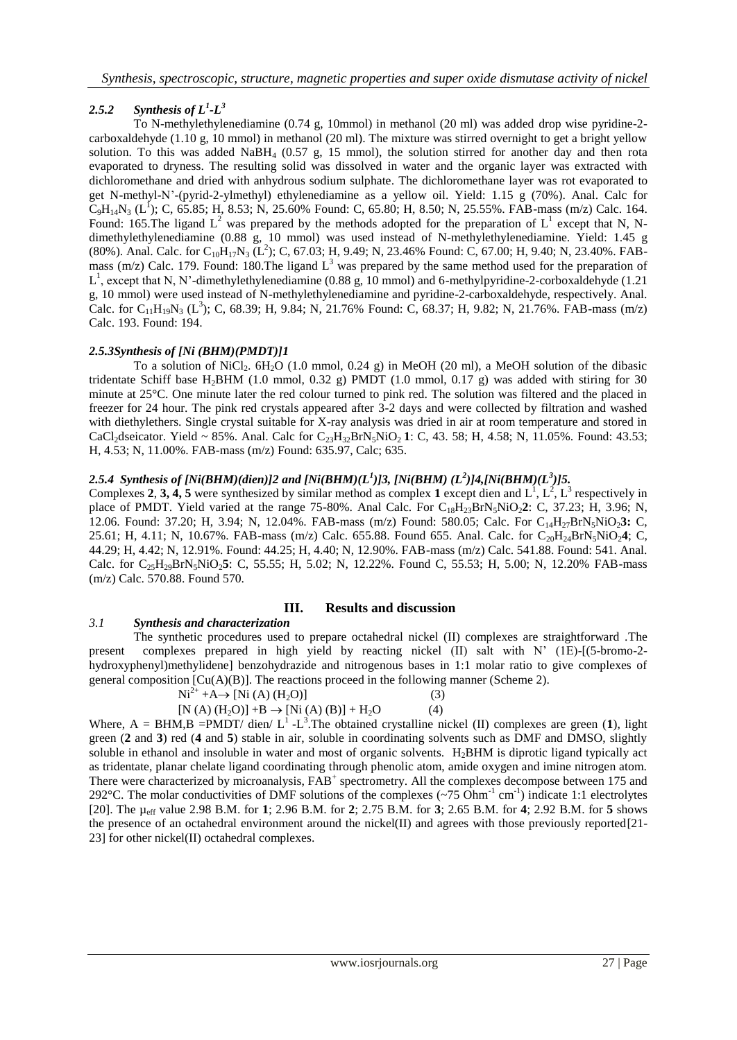## *2.5.2 Synthesis of L<sup>1</sup> -L 3*

To N-methylethylenediamine (0.74 g, 10mmol) in methanol (20 ml) was added drop wise pyridine-2 carboxaldehyde (1.10 g, 10 mmol) in methanol (20 ml). The mixture was stirred overnight to get a bright yellow solution. To this was added NaBH<sub>4</sub> (0.57 g, 15 mmol), the solution stirred for another day and then rota evaporated to dryness. The resulting solid was dissolved in water and the organic layer was extracted with dichloromethane and dried with anhydrous sodium sulphate. The dichloromethane layer was rot evaporated to get N-methyl-N'-(pyrid-2-ylmethyl) ethylenediamine as a yellow oil. Yield: 1.15 g (70%). Anal. Calc for  $C_9H_{14}N_3$  (L<sup>1</sup>); C, 65.85; H, 8.53; N, 25.60% Found: C, 65.80; H, 8.50; N, 25.55%. FAB-mass (m/z) Calc. 164. Found: 165. The ligand  $L^2$  was prepared by the methods adopted for the preparation of  $L^1$  except that N, Ndimethylethylenediamine (0.88 g, 10 mmol) was used instead of N-methylethylenediamine. Yield: 1.45 g (80%). Anal. Calc. for  $C_{10}H_{17}N_3$  (L<sup>2</sup>); C, 67.03; H, 9.49; N, 23.46% Found: C, 67.00; H, 9.40; N, 23.40%. FABmass (m/z) Calc. 179. Found: 180. The ligand  $L<sup>3</sup>$  was prepared by the same method used for the preparation of  $L^1$ , except that N, N'-dimethylethylenediamine (0.88 g, 10 mmol) and 6-methylpyridine-2-corboxaldehyde (1.21) g, 10 mmol) were used instead of N-methylethylenediamine and pyridine-2-carboxaldehyde, respectively. Anal. Calc. for C<sub>11</sub>H<sub>19</sub>N<sub>3</sub> (L<sup>3</sup>); C, 68.39; H, 9.84; N, 21.76% Found: C, 68.37; H, 9.82; N, 21.76%. FAB-mass (m/z) Calc. 193. Found: 194.

#### *2.5.3Synthesis of [Ni (BHM)(PMDT)]1*

To a solution of NiCl<sub>2</sub>. 6H<sub>2</sub>O (1.0 mmol, 0.24 g) in MeOH (20 ml), a MeOH solution of the dibasic tridentate Schiff base H<sub>2</sub>BHM (1.0 mmol, 0.32 g) PMDT (1.0 mmol, 0.17 g) was added with stiring for 30 minute at 25°C. One minute later the red colour turned to pink red. The solution was filtered and the placed in freezer for 24 hour. The pink red crystals appeared after 3-2 days and were collected by filtration and washed with diethylethers. Single crystal suitable for X-ray analysis was dried in air at room temperature and stored in CaCl<sub>2</sub>dseicator. Yield ~ 85%. Anal. Calc for  $C_{23}H_{32}BrN_5NiO_2$  1: C, 43. 58; H, 4.58; N, 11.05%. Found: 43.53; H, 4.53; N, 11.00%. FAB-mass (m/z) Found: 635.97, Calc; 635.

#### 2.5.4 Synthesis of [Ni(BHM)(dien)]2 and [Ni(BHM)(L<sup>1</sup>)]3, [Ni(BHM) (L<sup>2</sup>)]4,[Ni(BHM)(L<sup>3</sup>)]5.

Complexes 2, 3, 4, 5 were synthesized by similar method as complex 1 except dien and  $L^1, L^2, L^3$  respectively in place of PMDT. Yield varied at the range 75-80%. Anal Calc. For C<sub>18</sub>H<sub>23</sub>BrN<sub>5</sub>NiO<sub>2</sub>2: C, 37.23; H, 3.96; N, 12.06. Found: 37.20; H, 3.94; N, 12.04%. FAB-mass (m/z) Found: 580.05; Calc. For C14H27BrN5NiO2**3:** C, 25.61; H, 4.11; N, 10.67%. FAB-mass (m/z) Calc. 655.88. Found 655. Anal. Calc. for C20H24BrN5NiO2**4**; C, 44.29; H, 4.42; N, 12.91%. Found: 44.25; H, 4.40; N, 12.90%. FAB-mass (m/z) Calc. 541.88. Found: 541. Anal. Calc. for C<sub>25</sub>H<sub>29</sub>BrN<sub>5</sub>NiO<sub>2</sub>5: C, 55.55; H, 5.02; N, 12.22%. Found C, 55.53; H, 5.00; N, 12.20% FAB-mass (m/z) Calc. 570.88. Found 570.

#### **III. Results and discussion**

#### *3.1 Synthesis and characterization*

The synthetic procedures used to prepare octahedral nickel (II) complexes are straightforward .The present complexes prepared in high yield by reacting nickel (II) salt with N' (1E)-[(5-bromo-2 hydroxyphenyl)methylidene] benzohydrazide and nitrogenous bases in 1:1 molar ratio to give complexes of general composition  $\lbrack Cu(A)(B) \rbrack$ . The reactions proceed in the following manner (Scheme 2).

$$
Ni^{2+} + A \rightarrow [Ni (A) (H_2O)]
$$
\n(3)

$$
[N (A) (H2O)] + B \to [Ni (A) (B)] + H2O \t(4)
$$

Where,  $A = BHM$ ,  $B = PMDT$  dien/  $L^1 - L^3$ . The obtained crystalline nickel (II) complexes are green (1), light green (**2** and **3**) red (**4** and **5**) stable in air, soluble in coordinating solvents such as DMF and DMSO, slightly soluble in ethanol and insoluble in water and most of organic solvents.  $H_2BHM$  is diprotic ligand typically act as tridentate, planar chelate ligand coordinating through phenolic atom, amide oxygen and imine nitrogen atom. There were characterized by microanalysis,  $FAB^+$  spectrometry. All the complexes decompose between 175 and 292°C. The molar conductivities of DMF solutions of the complexes  $(\sim 75 \text{ Ohm}^{-1} \text{ cm}^{-1})$  indicate 1:1 electrolytes [20]. The µeff value 2.98 B.M. for **1**; 2.96 B.M. for **2**; 2.75 B.M. for **3**; 2.65 B.M. for **4**; 2.92 B.M. for **5** shows the presence of an octahedral environment around the nickel(II) and agrees with those previously reported[21-23] for other nickel(II) octahedral complexes.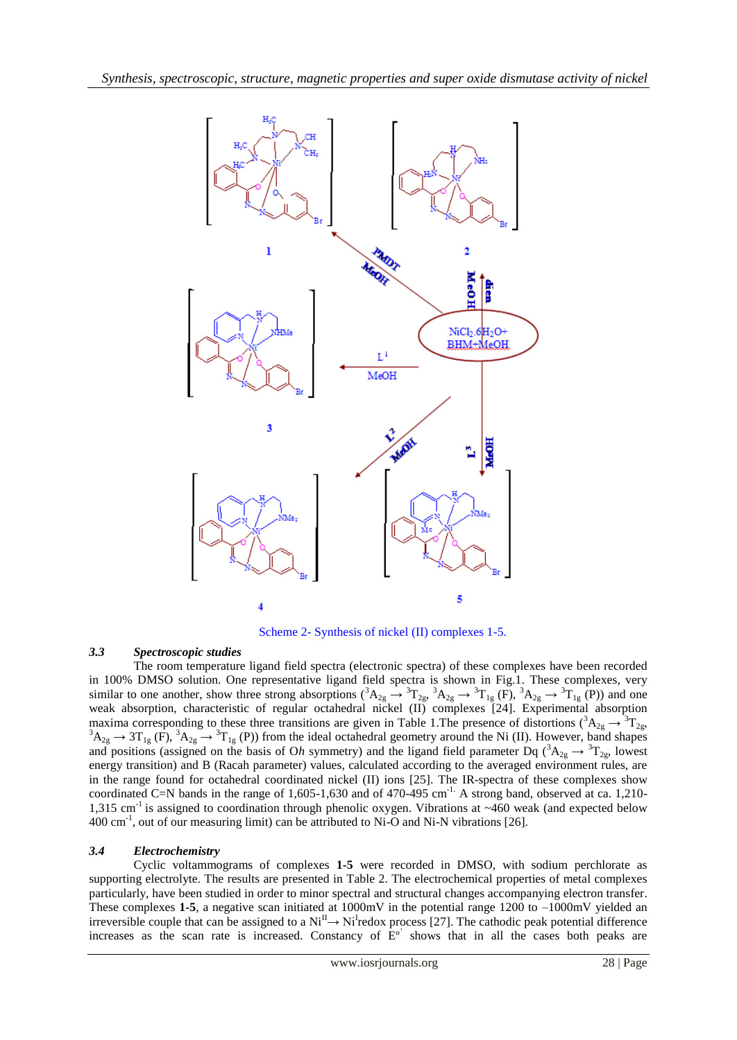

Scheme 2- Synthesis of nickel (II) complexes 1-5.

# *3.3 Spectroscopic studies*

The room temperature ligand field spectra (electronic spectra) of these complexes have been recorded in 100% DMSO solution. One representative ligand field spectra is shown in Fig.1. These complexes, very similar to one another, show three strong absorptions  $({}^3A_{2g} \rightarrow {}^3T_{2g}, {}^3A_{2g} \rightarrow {}^3T_{1g}$  (F),  ${}^3A_{2g} \rightarrow {}^3T_{1g}$  (P)) and one weak absorption, characteristic of regular octahedral nickel (II) complexes [24]. Experimental absorption maxima corresponding to these three transitions are given in Table 1. The presence of distortions ( ${}^3A_{2g} \rightarrow {}^3T_{2g}$ ,  ${}^{3}A_{2g} \rightarrow 3T_{1g}$  (F),  ${}^{3}A_{2g} \rightarrow {}^{3}T_{1g}$  (P)) from the ideal octahedral geometry around the Ni (II). However, band shapes and positions (assigned on the basis of Oh symmetry) and the ligand field parameter Dq ( ${}^3A_{2g} \rightarrow {}^3T_{2g}$ , lowest energy transition) and B (Racah parameter) values, calculated according to the averaged environment rules, are in the range found for octahedral coordinated nickel (II) ions [25]. The IR-spectra of these complexes show coordinated C=N bands in the range of  $1,605$ -1,630 and of 470-495 cm<sup>-1</sup>. A strong band, observed at ca. 1,210-1,315 cm<sup>-1</sup> is assigned to coordination through phenolic oxygen. Vibrations at  $\sim$ 460 weak (and expected below 400 cm-1 , out of our measuring limit) can be attributed to Ni-O and Ni-N vibrations [26].

## *3.4 Electrochemistry*

Cyclic voltammograms of complexes **1-5** were recorded in DMSO, with sodium perchlorate as supporting electrolyte. The results are presented in Table 2. The electrochemical properties of metal complexes particularly, have been studied in order to minor spectral and structural changes accompanying electron transfer. These complexes **1-5**, a negative scan initiated at 1000mV in the potential range 1200 to –1000mV yielded an irreversible couple that can be assigned to a  $Ni^{\text{II}} \rightarrow Ni^{\text{I}}$  redox process [27]. The cathodic peak potential difference increases as the scan rate is increased. Constancy of  $E^{\circ}$  shows that in all the cases both peaks are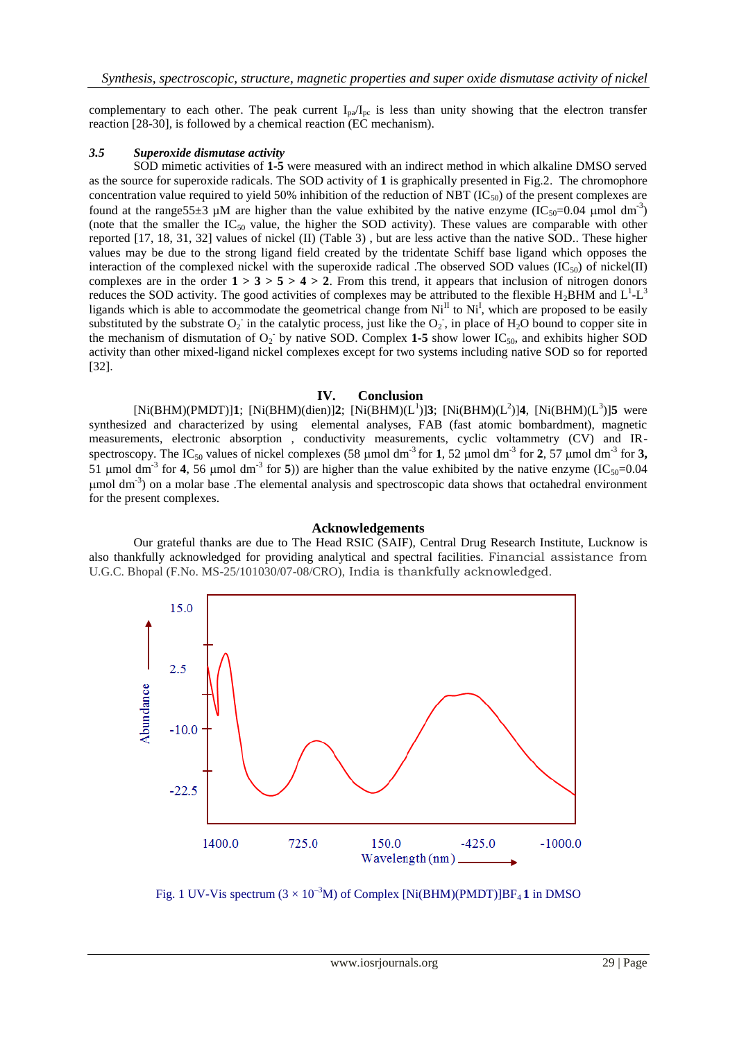complementary to each other. The peak current  $I_{pa}/I_{pc}$  is less than unity showing that the electron transfer reaction [28-30], is followed by a chemical reaction (EC mechanism).

#### *3.5 Superoxide dismutase activity*

SOD mimetic activities of **1-5** were measured with an indirect method in which alkaline DMSO served as the source for superoxide radicals. The SOD activity of **1** is graphically presented in Fig.2. The chromophore concentration value required to yield 50% inhibition of the reduction of NBT ( $IC_{50}$ ) of the present complexes are found at the range 55 $\pm$ 3 µM are higher than the value exhibited by the native enzyme (IC<sub>50</sub>=0.04 µmol dm<sup>-3</sup>) (note that the smaller the  $IC_{50}$  value, the higher the SOD activity). These values are comparable with other reported [17, 18, 31, 32] values of nickel (II) (Table 3) , but are less active than the native SOD.. These higher values may be due to the strong ligand field created by the tridentate Schiff base ligand which opposes the interaction of the complexed nickel with the superoxide radical .The observed SOD values ( $IC_{50}$ ) of nickel(II) complexes are in the order  $1 > 3 > 5 > 4 > 2$ . From this trend, it appears that inclusion of nitrogen donors reduces the SOD activity. The good activities of complexes may be attributed to the flexible  $H_2BHM$  and  $L^1-L^3$ ligands which is able to accommodate the geometrical change from  $Ni<sup>II</sup>$  to  $Ni<sup>II</sup>$ , which are proposed to be easily substituted by the substrate  $O_2$  in the catalytic process, just like the  $O_2$ , in place of H<sub>2</sub>O bound to copper site in the mechanism of dismutation of  $O_2$  by native SOD. Complex 1-5 show lower IC<sub>50</sub>, and exhibits higher SOD activity than other mixed-ligand nickel complexes except for two systems including native SOD so for reported [32].

#### **IV. Conclusion**

 $[Ni(BHM)(PMDT)]1$ ;  $[Ni(BHM)(dien)]2$ ;  $[Ni(BHM)(L^1)]3$ ;  $[Ni(BHM)(L^2)]4$ ,  $[Ni(BHM)(L^3)]5$  were synthesized and characterized by using elemental analyses, FAB (fast atomic bombardment), magnetic measurements, electronic absorption , conductivity measurements, cyclic voltammetry (CV) and IRspectroscopy. The IC<sub>50</sub> values of nickel complexes (58  $\mu$ mol dm<sup>-3</sup> for **1**, 52  $\mu$ mol dm<sup>-3</sup> for **2**, 57  $\mu$ mol dm<sup>-3</sup> for **3**, 51 µmol dm<sup>-3</sup> for **4**, 56 µmol dm<sup>-3</sup> for **5**)) are higher than the value exhibited by the native enzyme (IC<sub>50</sub>=0.04  $\mu$ mol dm<sup>-3</sup>) on a molar base .The elemental analysis and spectroscopic data shows that octahedral environment for the present complexes.

#### **Acknowledgements**

Our grateful thanks are due to The Head RSIC (SAIF), Central Drug Research Institute, Lucknow is also thankfully acknowledged for providing analytical and spectral facilities. Financial assistance from U.G.C. Bhopal (F.No. MS-25/101030/07-08/CRO), India is thankfully acknowledged.



Fig. 1 UV-Vis spectrum  $(3 \times 10^{-3} M)$  of Complex [Ni(BHM)(PMDT)]BF<sub>4</sub>1 in DMSO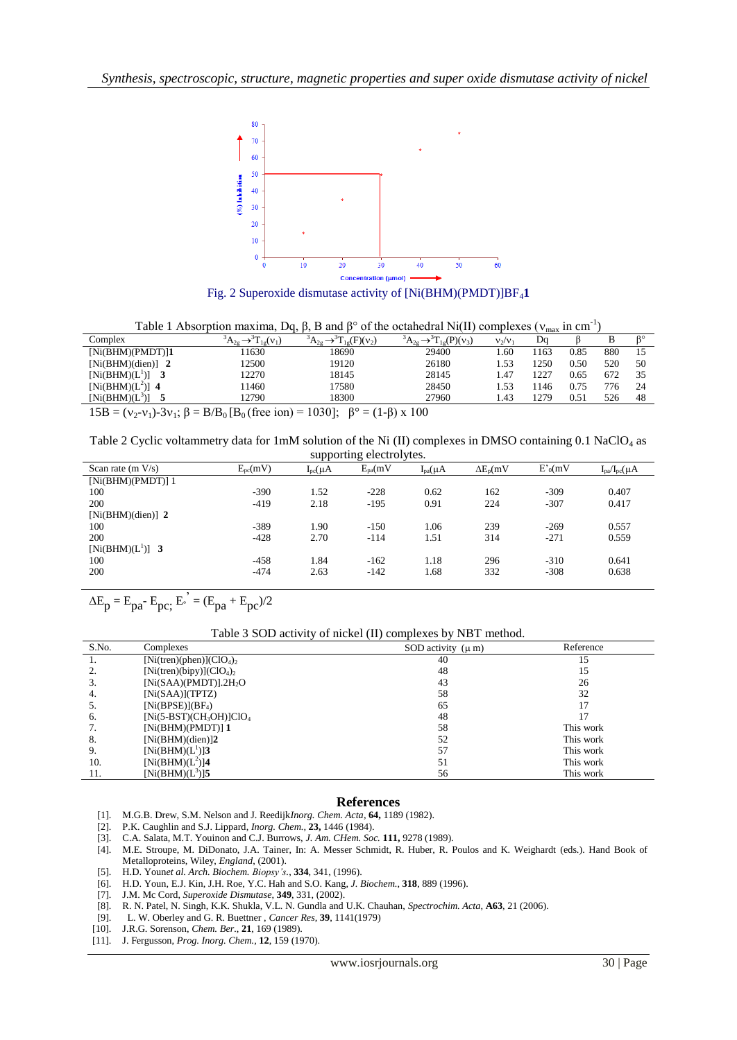

Fig. 2 Superoxide dismutase activity of  $[Ni(BHM)(PMDT)]BF_41$ 

| Table 1 Absorption maxima, Dq, $\beta$ , B and $\beta^{\circ}$ of the octahedral Ni(II) complexes ( $v_{max}$ in cm <sup>-1</sup> ) |  |
|-------------------------------------------------------------------------------------------------------------------------------------|--|
|-------------------------------------------------------------------------------------------------------------------------------------|--|

|                                                 |                                 | .                                      |                       |           |      |      |     |    |
|-------------------------------------------------|---------------------------------|----------------------------------------|-----------------------|-----------|------|------|-----|----|
| Complex                                         | $\tilde{L}_{1a}(\mathcal{V}_1)$ | $\Gamma_{1g}(F)(v_2)$<br>$\Delta 2e$   | $\Gamma_{10}(P)(v_3)$ | $V_2/V_1$ | Da   |      |     | Q٥ |
| $[Ni(BHM)(PMDT)]$ 1                             | 1630                            | 18690                                  | 29400                 | .60       | 163  | 0.85 | 880 |    |
| [Ni(BHM)(dien)]                                 | 12500                           | 19120                                  | 26180                 | .53       | 1250 | 0.50 | 520 | 50 |
| $[Ni(BHM)(L^1)]$                                | 12270                           | 18145                                  | 28145                 | . 47      | 1227 | 0.65 |     | 35 |
| [Ni(BHM) $(L^2)$ ] 4                            | 1460                            | 7580                                   | 28450                 | . 53      | 146  | 0.75 | 776 | 24 |
| $[Ni(BHM)(L^3)]$                                | 12790                           | 18300                                  | 27960                 | .43       | 279  | 0.51 | 526 | 48 |
| $\sim$<br>$\sim$ $\sim$ $\sim$<br>$\sim$ $\sim$ |                                 | $\sim$<br>$\lambda$ $\lambda$<br>10222 | $\sim$ $\sim$         |           |      |      |     |    |

 $15B = (v_2 - v_1) - 3v_1$ ;  $\beta = B/B_0$  (free ion) = 1030];  $\beta^\circ = (1-\beta)x 100$ 

Table 2 Cyclic voltammetry data for 1mM solution of the Ni (II) complexes in DMSO containing 0.1 NaClO<sup>4</sup> as

| supporting electrolytes. |                  |                 |              |                 |                  |            |                        |
|--------------------------|------------------|-----------------|--------------|-----------------|------------------|------------|------------------------|
| Scan rate $(m V/s)$      | $E_{\rm pc}(mV)$ | $I_{pc}(\mu A)$ | $E_{pa}(mV)$ | $I_{pa}(\mu A)$ | $\Delta E_p(mV)$ | $E'_0(mV)$ | $I_{pa}/I_{pc}(\mu A)$ |
| $[Ni(BHM)(PMDT)]$ 1      |                  |                 |              |                 |                  |            |                        |
| 100                      | $-390$           | 1.52            | $-228$       | 0.62            | 162              | $-309$     | 0.407                  |
| 200                      | $-419$           | 2.18            | $-195$       | 0.91            | 224              | $-307$     | 0.417                  |
| [Ni(BHM)(dien)] $2$      |                  |                 |              |                 |                  |            |                        |
| 100                      | $-389$           | 1.90            | $-150$       | 1.06            | 239              | $-269$     | 0.557                  |
| 200                      | $-428$           | 2.70            | $-114$       | 1.51            | 314              | $-271$     | 0.559                  |
| $[Ni(BHM)(L^1)]$ 3       |                  |                 |              |                 |                  |            |                        |
| 100                      | $-458$           | 1.84            | $-162$       | 1.18            | 296              | $-310$     | 0.641                  |
| 200                      | $-474$           | 2.63            | $-142$       | 1.68            | 332              | $-308$     | 0.638                  |
|                          |                  |                 |              |                 |                  |            |                        |

 $\Delta E_p = E_{pa} - E_{pc}$ ;  $E_e^{\prime} = (E_{pa} + E_{pc})/2$ 

#### Table 3 SOD activity of nickel (II) complexes by NBT method.

| S.No. | Complexes                               | SOD activity $(\mu m)$ | Reference |
|-------|-----------------------------------------|------------------------|-----------|
|       | $[Ni(tren)(phen)](ClO4)2$               | 40                     | 15        |
| ۷.    | [Ni(tren)(bipy)]( $ClO4$ ) <sub>2</sub> | 48                     | 15        |
| 3.    | [Ni(SAA)(PMDT)].2H <sub>2</sub> O       | 43                     | 26        |
| 4.    | [Ni(SAA)](TPTZ)                         | 58                     | 32        |
| כ.    | $[Ni(BPSE)](BF_4)$                      | 65                     |           |
| 6.    | $[Ni(5-BST)(CH_3OH)]ClO4$               | 48                     |           |
| 7.    | $[Ni(BHM)(PMDT)]$ 1                     | 58                     | This work |
| 8.    | [Ni(BHM)(dien)]2                        | 52                     | This work |
| 9.    | $[Ni(BHM)(L^1)]$ 3                      | 57                     | This work |
| 10.   | $[Ni(BHM)(L^2)]$ 4                      | 51                     | This work |
| 11.   | $[Ni(BHM)(L^3)]$ 5                      | 56                     | This work |

#### **References**

- [1]. M.G.B. Drew, S.M. Nelson and J. Reedijk*Inorg. Chem. Acta,* **64,** 1189 (1982).
- [2]. P.K. Caughlin and S.J. Lippard, *Inorg. Chem.,* **23,** 1446 (1984).
- [3]. C.A. Salata, M.T. Youinon and C.J. Burrows, *J. Am. CHem. Soc.* **111,** 9278 (1989).
- [4]. M.E. Stroupe, M. DiDonato, J.A. Tainer, In: A. Messer Schmidt, R. Huber, R. Poulos and K. Weighardt (eds.). Hand Book of Metalloproteins, Wiley, *England*, (2001).
- [5]. H.D. Youn*et al. Arch. Biochem. Biopsy's.*, **334**, 341, (1996).
- [6]. H.D. Youn, E.J. Kin, J.H. Roe, Y.C. Hah and S.O. Kang, *J. Biochem.*, **318**, 889 (1996).
- [7]. J.M. Mc Cord, *Superoxide Dismutase*, **349**, 331, (2002).
- [8]. R. N. Patel, N. Singh, K.K. Shukla, V.L. N. Gundla and U.K. Chauhan, *Spectrochim. Acta*, **A63**, 21 (2006).
- [9]. L. W. Oberley and G. R. Buettner , *Cancer Res,* **39**, 1141(1979)
- [10]. J.R.G. Sorenson, *Chem. Ber.*, **21**, 169 (1989).
- [11]. J. Fergusson, *Prog. Inorg. Chem.,* **12**, 159 (1970).